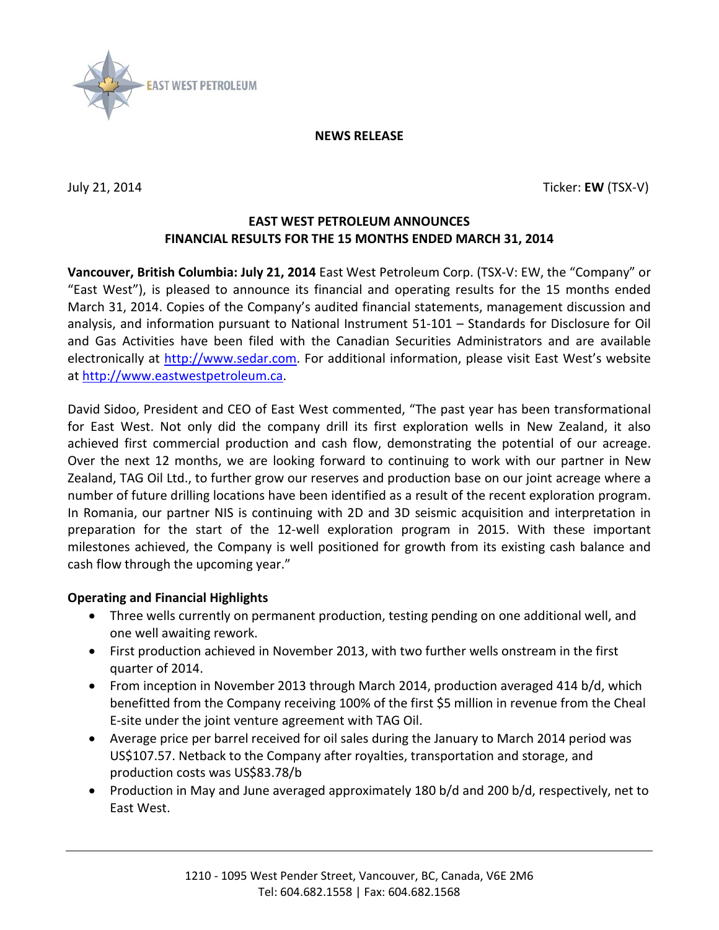

**NEWS RELEASE**

July 21, 2014 Ticker: **EW** (TSX-V)

## **EAST WEST PETROLEUM ANNOUNCES FINANCIAL RESULTS FOR THE 15 MONTHS ENDED MARCH 31, 2014**

**Vancouver, British Columbia: July 21, 2014** East West Petroleum Corp. (TSX-V: EW, the "Company" or "East West"), is pleased to announce its financial and operating results for the 15 months ended March 31, 2014. Copies of the Company's audited financial statements, management discussion and analysis, and information pursuant to National Instrument 51-101 – Standards for Disclosure for Oil and Gas Activities have been filed with the Canadian Securities Administrators and are available electronically at [http://www.sedar.com.](http://www.sedar.com/) For additional information, please visit East West's website at [http://www.eastwestpetroleum.ca.](http://www.eastwestpetroleum.ca/)

David Sidoo, President and CEO of East West commented, "The past year has been transformational for East West. Not only did the company drill its first exploration wells in New Zealand, it also achieved first commercial production and cash flow, demonstrating the potential of our acreage. Over the next 12 months, we are looking forward to continuing to work with our partner in New Zealand, TAG Oil Ltd., to further grow our reserves and production base on our joint acreage where a number of future drilling locations have been identified as a result of the recent exploration program. In Romania, our partner NIS is continuing with 2D and 3D seismic acquisition and interpretation in preparation for the start of the 12-well exploration program in 2015. With these important milestones achieved, the Company is well positioned for growth from its existing cash balance and cash flow through the upcoming year."

## **Operating and Financial Highlights**

- Three wells currently on permanent production, testing pending on one additional well, and one well awaiting rework.
- First production achieved in November 2013, with two further wells onstream in the first quarter of 2014.
- From inception in November 2013 through March 2014, production averaged 414 b/d, which benefitted from the Company receiving 100% of the first \$5 million in revenue from the Cheal E-site under the joint venture agreement with TAG Oil.
- Average price per barrel received for oil sales during the January to March 2014 period was US\$107.57. Netback to the Company after royalties, transportation and storage, and production costs was US\$83.78/b
- Production in May and June averaged approximately 180 b/d and 200 b/d, respectively, net to East West.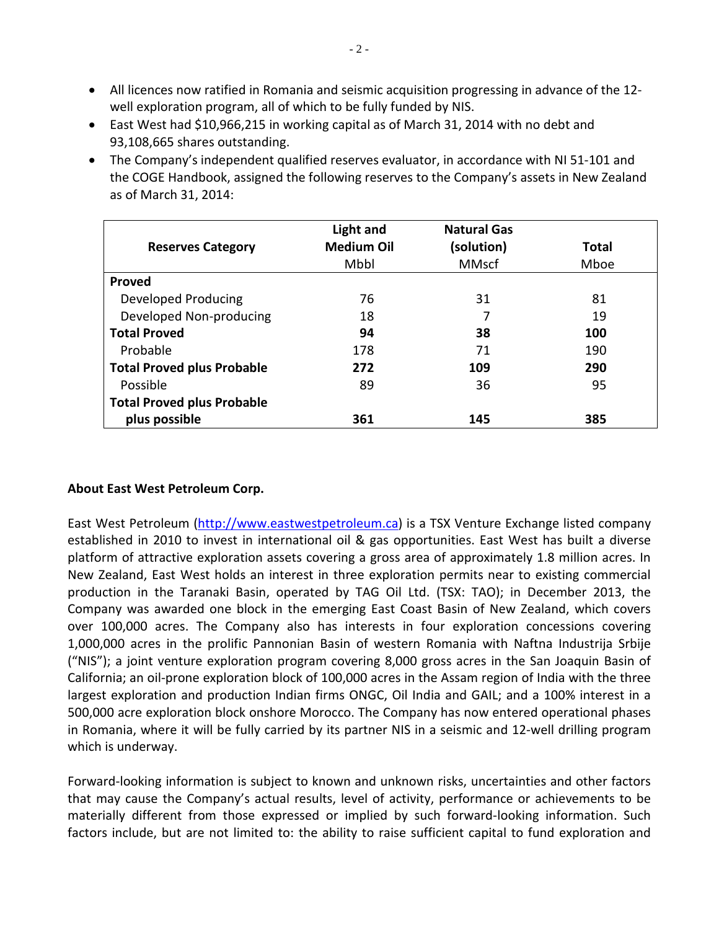- All licences now ratified in Romania and seismic acquisition progressing in advance of the 12 well exploration program, all of which to be fully funded by NIS.
- East West had \$10,966,215 in working capital as of March 31, 2014 with no debt and 93,108,665 shares outstanding.
- The Company's independent qualified reserves evaluator, in accordance with NI 51-101 and the COGE Handbook, assigned the following reserves to the Company's assets in New Zealand as of March 31, 2014:

| <b>Reserves Category</b>          | Light and<br><b>Medium Oil</b> | <b>Natural Gas</b><br>(solution) | Total |
|-----------------------------------|--------------------------------|----------------------------------|-------|
|                                   | Mbbl                           | <b>MMscf</b>                     | Mboe  |
| Proved                            |                                |                                  |       |
| Developed Producing               | 76                             | 31                               | 81    |
| Developed Non-producing           | 18                             | 7                                | 19    |
| <b>Total Proved</b>               | 94                             | 38                               | 100   |
| Probable                          | 178                            | 71                               | 190   |
| <b>Total Proved plus Probable</b> | 272                            | 109                              | 290   |
| Possible                          | 89                             | 36                               | 95    |
| <b>Total Proved plus Probable</b> |                                |                                  |       |
| plus possible                     | 361                            | 145                              | 385   |

## **About East West Petroleum Corp.**

East West Petroleum [\(http://www.eastwestpetroleum.ca\)](http://www.eastwestpetroleum.ca/) is a TSX Venture Exchange listed company established in 2010 to invest in international oil & gas opportunities. East West has built a diverse platform of attractive exploration assets covering a gross area of approximately 1.8 million acres. In New Zealand, East West holds an interest in three exploration permits near to existing commercial production in the Taranaki Basin, operated by TAG Oil Ltd. (TSX: TAO); in December 2013, the Company was awarded one block in the emerging East Coast Basin of New Zealand, which covers over 100,000 acres. The Company also has interests in four exploration concessions covering 1,000,000 acres in the prolific Pannonian Basin of western Romania with Naftna Industrija Srbije ("NIS"); a joint venture exploration program covering 8,000 gross acres in the San Joaquin Basin of California; an oil-prone exploration block of 100,000 acres in the Assam region of India with the three largest exploration and production Indian firms ONGC, Oil India and GAIL; and a 100% interest in a 500,000 acre exploration block onshore Morocco. The Company has now entered operational phases in Romania, where it will be fully carried by its partner NIS in a seismic and 12-well drilling program which is underway.

Forward-looking information is subject to known and unknown risks, uncertainties and other factors that may cause the Company's actual results, level of activity, performance or achievements to be materially different from those expressed or implied by such forward-looking information. Such factors include, but are not limited to: the ability to raise sufficient capital to fund exploration and